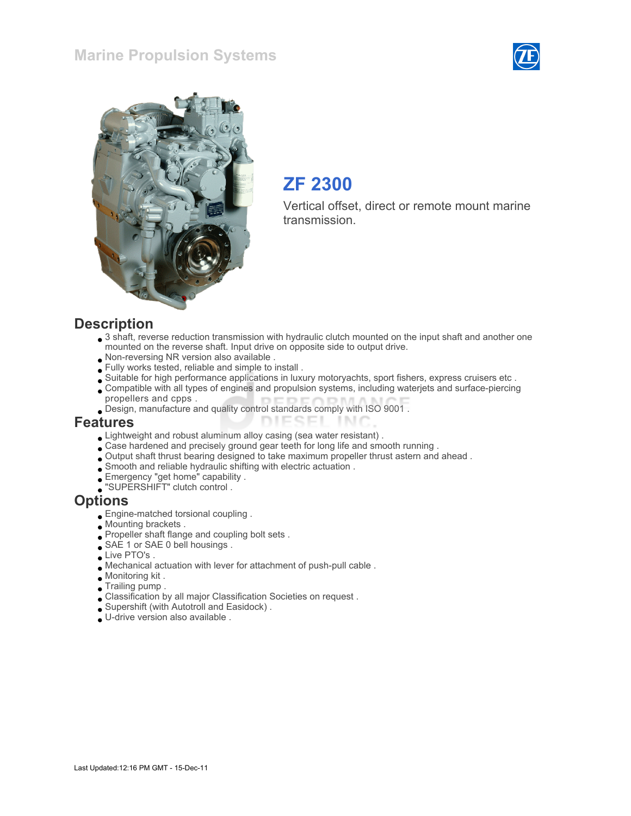### Marine Propulsion Systems





## ZF 2300

Vertical offset, direct or remote mount marine transmission.

#### **Description**

- 3 shaft, reverse reduction transmission with hydraulic clutch mounted on the input shaft and another one mounted on the reverse shaft. Input drive on opposite side to output drive.
- Non-reversing NR version also available .
- Fully works tested, reliable and simple to install .
- Suitable for high performance applications in luxury motoryachts, sport fishers, express cruisers etc .
- Compatible with all types of engines and propulsion systems, including waterjets and surface-piercing propellers and cpps .

TN 1

Design, manufacture and quality control standards comply with ISO 9001 .

#### Features

- Lightweight and robust aluminum alloy casing (sea water resistant) .
- Case hardened and precisely ground gear teeth for long life and smooth running .
- Output shaft thrust bearing designed to take maximum propeller thrust astern and ahead .

**DIESEI** 

- $\Box$  Smooth and reliable hydraulic shifting with electric actuation .
- Emergency "get home" capability .
- "SUPERSHIFT" clutch control .

#### **Options**

- Engine-matched torsional coupling .
- Mounting brackets .
- Propeller shaft flange and coupling bolt sets .
- SAE 1 or SAE 0 bell housings.
- Live PTO's.
- Mechanical actuation with lever for attachment of push-pull cable .
- Monitoring kit .
- Trailing pump .
- Classification by all major Classification Societies on request .
- Supershift (with Autotroll and Easidock) .
- U-drive version also available .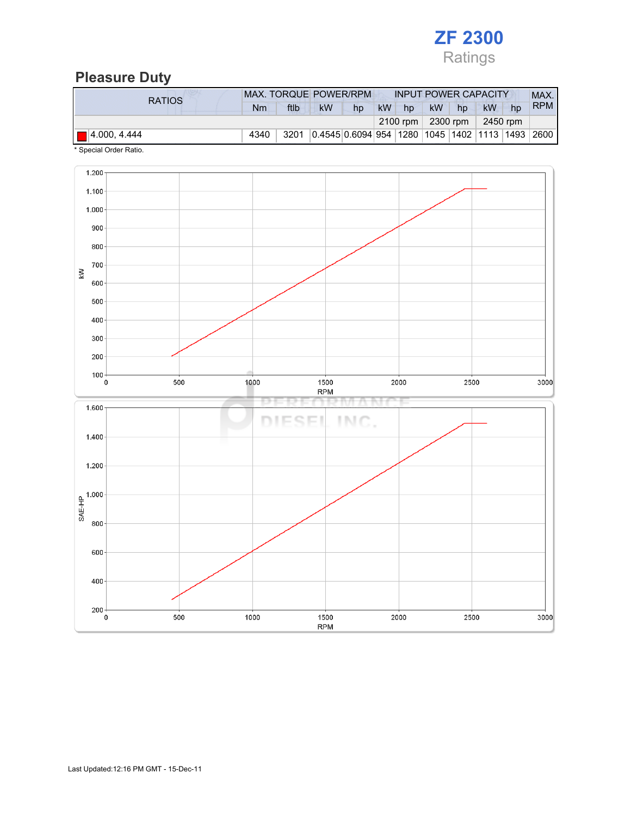

### Pleasure Duty

| <b>RATIOS</b>               | MAX. TORQUE POWER/RPM |      |           |    | <b>INPUT POWER CAPACITY</b> |    |                          |    |                                                       | MAX.       |
|-----------------------------|-----------------------|------|-----------|----|-----------------------------|----|--------------------------|----|-------------------------------------------------------|------------|
|                             | Nm                    | ftlb | <b>kW</b> | hp | <b>kW</b>                   | hp | <b>kW</b>                | hp | kW<br>hp                                              | <b>RPM</b> |
|                             |                       |      |           |    |                             |    | 2100 rpm $ 2300$ rpm $ $ |    | 2450 rpm                                              |            |
| $\blacksquare$ 4.000, 4.444 | 4340                  | 3201 |           |    |                             |    |                          |    | 0.4545 0.6094 954  1280  1045  1402  1113  1493  2600 |            |

\* Special Order Ratio.

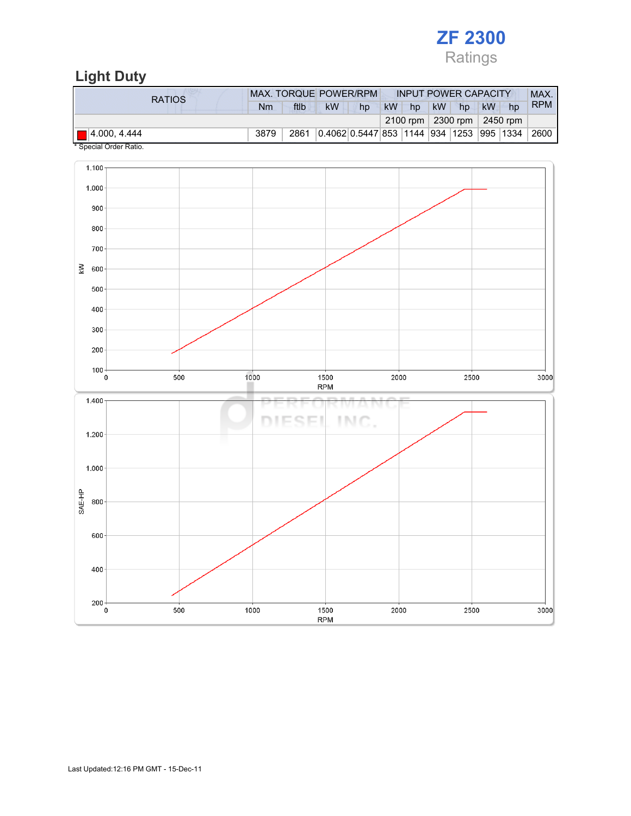

# Light Duty

| <b>RATIOS</b>                                                      | MAX. TORQUE POWER/RPM |      |                                          |    | <b>INPUT POWER CAPACITY</b> |    |           |                            |           |    | MAX.       |
|--------------------------------------------------------------------|-----------------------|------|------------------------------------------|----|-----------------------------|----|-----------|----------------------------|-----------|----|------------|
|                                                                    | Nm                    | ftlb | <b>kW</b>                                | hp | <b>kW</b>                   | hp | <b>kW</b> | hp                         | <b>kW</b> | hp | <b>RPM</b> |
|                                                                    |                       |      |                                          |    |                             |    |           | 2100 rpm 2300 rpm 2450 rpm |           |    |            |
| $\blacksquare$ 4.000, 4.444<br>$\cdots$ $\cdots$ $\cdots$ $\cdots$ | 3879                  | 2861 | 0.4062 0.5447 853 1144 934 1253 995 1334 |    |                             |    |           |                            |           |    | 2600       |

Special Order Ratio.

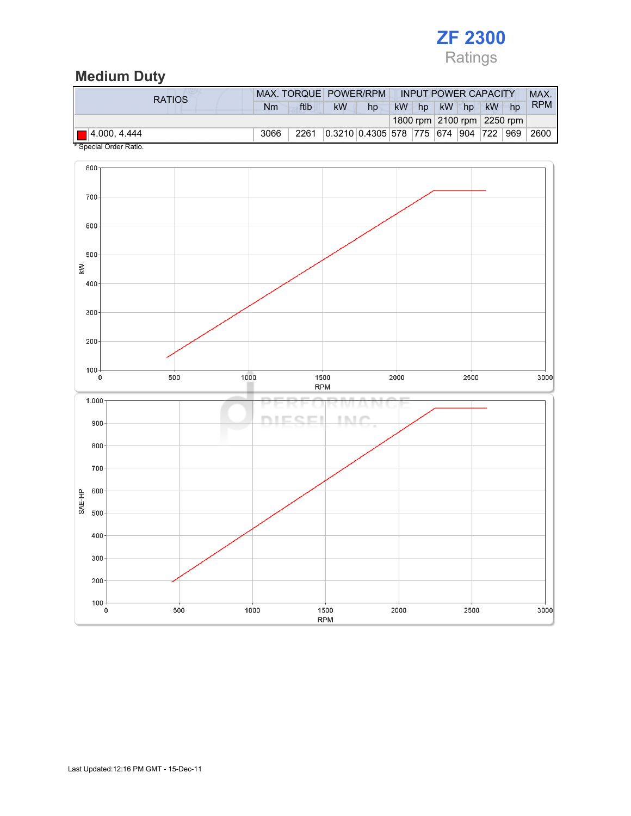

# Medium Duty

| <b>RATIOS</b>               |      |      | MAX. TORQUE POWER/RPM |                                   | <b>INPUT POWER CAPACITY</b> |    |           |    |           | MAX.                       |            |
|-----------------------------|------|------|-----------------------|-----------------------------------|-----------------------------|----|-----------|----|-----------|----------------------------|------------|
|                             | Nm   | ftlb | kW                    | hp                                | <b>kW</b>                   | hp | <b>kW</b> | hp | <b>kW</b> | hp                         | <b>RPM</b> |
|                             |      |      |                       |                                   |                             |    |           |    |           | 1800 rpm 2100 rpm 2250 rpm |            |
| $\blacksquare$ 4.000, 4.444 | 3066 | 2261 |                       | 0.3210 0.4305 578 775 674 904 722 |                             |    |           |    |           | 969                        | 2600       |



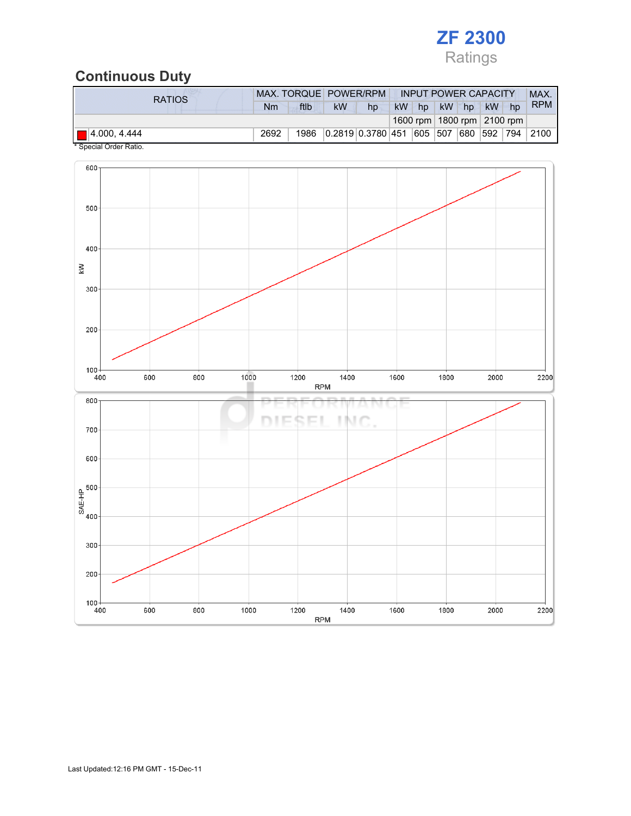

## Continuous Duty

| <b>kW</b><br>ftlb<br><b>kW</b><br>kW<br><b>kW</b><br>hp<br>Nm<br>hp<br>hp<br>hp<br>1600 rpm   1800 rpm   2100 rpm | <b>RATIOS</b>               |      | MAX. TORQUE POWER/RPM |  | <b>INPUT POWER CAPACITY</b> |  |  |  |  | MAX.       |
|-------------------------------------------------------------------------------------------------------------------|-----------------------------|------|-----------------------|--|-----------------------------|--|--|--|--|------------|
|                                                                                                                   |                             |      |                       |  |                             |  |  |  |  | <b>RPM</b> |
|                                                                                                                   |                             |      |                       |  |                             |  |  |  |  |            |
| 0.2819 0.3780 451 605 507 680<br> 592   794<br>1986                                                               | $\blacksquare$ 4.000, 4.444 | 2692 |                       |  |                             |  |  |  |  | 2100       |

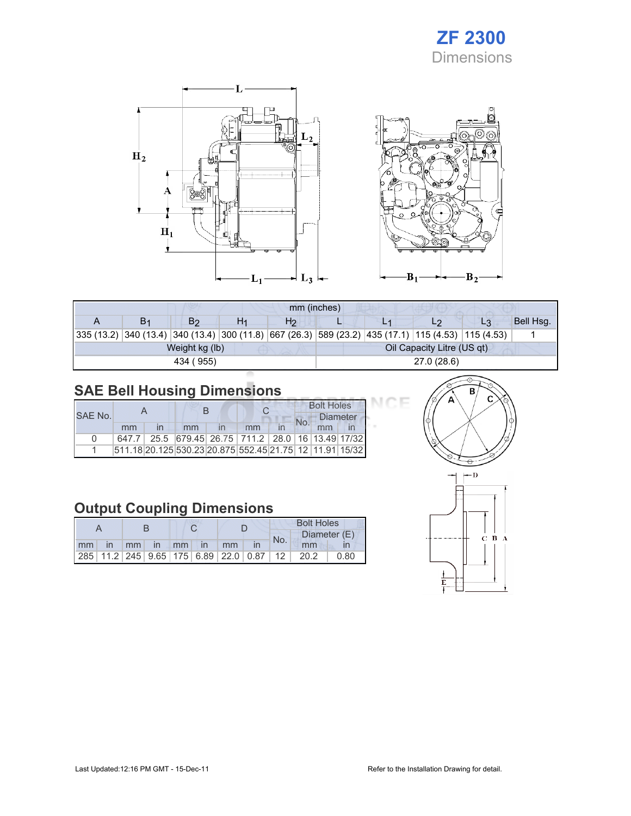# ZF 2300 Dimensions





|    |                |    | mm (inches)    |             |  |                            |                                                                                                    |           |  |
|----|----------------|----|----------------|-------------|--|----------------------------|----------------------------------------------------------------------------------------------------|-----------|--|
| В1 | B2             | H1 | H <sub>2</sub> |             |  | L2                         | L3                                                                                                 | Bell Hsg. |  |
|    |                |    |                |             |  |                            | 335 (13.2) 340 (13.4) 340 (13.4) 300 (11.8) 667 (26.3) 589 (23.2) 435 (17.1) 115 (4.53) 115 (4.53) |           |  |
|    | Weight kg (lb) |    |                |             |  | Oil Capacity Litre (US qt) |                                                                                                    |           |  |
|    | 434 (955)      |    |                | 27.0 (28.6) |  |                            |                                                                                                    |           |  |

# SAE Bell Housing Dimensions

|         |    |  |    |  |                                                         |  | <b>Bolt Holes</b> |                 |  |  |
|---------|----|--|----|--|---------------------------------------------------------|--|-------------------|-----------------|--|--|
| SAE No. |    |  |    |  |                                                         |  |                   | <b>Diameter</b> |  |  |
|         | mm |  | mm |  | mm                                                      |  |                   |                 |  |  |
| n       |    |  |    |  | 647.7 25.5 679.45 26.75 711.2 28.0 16 13.49 17/32       |  |                   |                 |  |  |
|         |    |  |    |  | 511.18 20.125 530.23 20.875 552.45 21.75 12 11.91 15/32 |  |                   |                 |  |  |

# Output Coupling Dimensions

|    |              |  |          |  |               | <b>Bolt Holes</b> |                                                         |     |      |              |
|----|--------------|--|----------|--|---------------|-------------------|---------------------------------------------------------|-----|------|--------------|
|    |              |  |          |  |               |                   |                                                         | No. |      | Diameter (E) |
| mm | $\mathsf{I}$ |  | mm in mm |  | $\mathsf{In}$ | mm                |                                                         |     | mm   |              |
|    |              |  |          |  |               |                   | 285   11.2   245   9.65   175   6.89   22.0   0.87   12 |     | 20.2 | 0.80         |



ICE